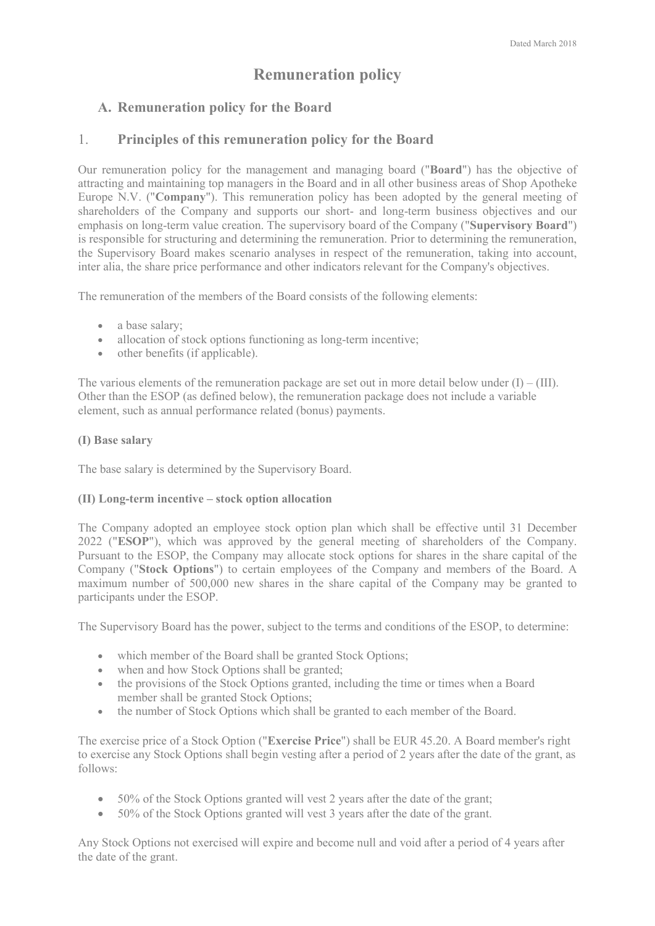# **Remuneration policy**

## **A. Remuneration policy for the Board**

## 1. **Principles of this remuneration policy for the Board**

Our remuneration policy for the management and managing board ("**Board**") has the objective of attracting and maintaining top managers in the Board and in all other business areas of Shop Apotheke Europe N.V. ("**Company**"). This remuneration policy has been adopted by the general meeting of shareholders of the Company and supports our short- and long-term business objectives and our emphasis on long-term value creation. The supervisory board of the Company ("**Supervisory Board**") is responsible for structuring and determining the remuneration. Prior to determining the remuneration, the Supervisory Board makes scenario analyses in respect of the remuneration, taking into account, inter alia, the share price performance and other indicators relevant for the Company's objectives.

The remuneration of the members of the Board consists of the following elements:

- a base salary;
- allocation of stock options functioning as long-term incentive;
- other benefits (if applicable).

The various elements of the remuneration package are set out in more detail below under  $(I) - (III)$ . Other than the ESOP (as defined below), the remuneration package does not include a variable element, such as annual performance related (bonus) payments.

#### **(I) Base salary**

The base salary is determined by the Supervisory Board.

#### **(II) Long-term incentive – stock option allocation**

The Company adopted an employee stock option plan which shall be effective until 31 December 2022 ("**ESOP**"), which was approved by the general meeting of shareholders of the Company. Pursuant to the ESOP, the Company may allocate stock options for shares in the share capital of the Company ("**Stock Options**") to certain employees of the Company and members of the Board. A maximum number of 500,000 new shares in the share capital of the Company may be granted to participants under the ESOP.

The Supervisory Board has the power, subject to the terms and conditions of the ESOP, to determine:

- which member of the Board shall be granted Stock Options;
- when and how Stock Options shall be granted;
- the provisions of the Stock Options granted, including the time or times when a Board member shall be granted Stock Options;
- the number of Stock Options which shall be granted to each member of the Board.

The exercise price of a Stock Option ("**Exercise Price**") shall be EUR 45.20. A Board member's right to exercise any Stock Options shall begin vesting after a period of 2 years after the date of the grant, as follows:

- 50% of the Stock Options granted will vest 2 years after the date of the grant;
- 50% of the Stock Options granted will vest 3 years after the date of the grant.

Any Stock Options not exercised will expire and become null and void after a period of 4 years after the date of the grant.